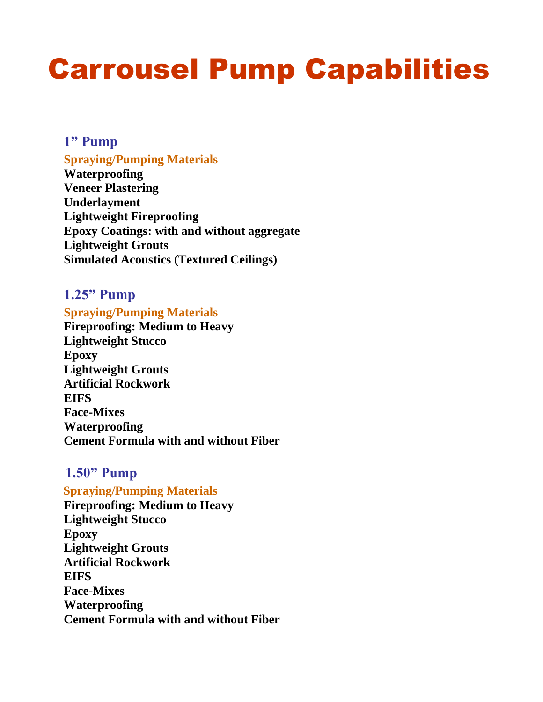## Carrousel Pump Capabilities

#### **1" Pump**

#### **Spraying/Pumping Materials**

**Waterproofing Veneer Plastering Underlayment Lightweight Fireproofing Epoxy Coatings: with and without aggregate Lightweight Grouts Simulated Acoustics (Textured Ceilings)**

#### **1.25" Pump**

#### **Spraying/Pumping Materials**

**Fireproofing: Medium to Heavy Lightweight Stucco Epoxy Lightweight Grouts Artificial Rockwork EIFS Face-Mixes Waterproofing Cement Formula with and without Fiber**

#### **1.50" Pump**

 **Spraying/Pumping Materials Fireproofing: Medium to Heavy Lightweight Stucco Epoxy Lightweight Grouts Artificial Rockwork EIFS Face-Mixes Waterproofing Cement Formula with and without Fiber**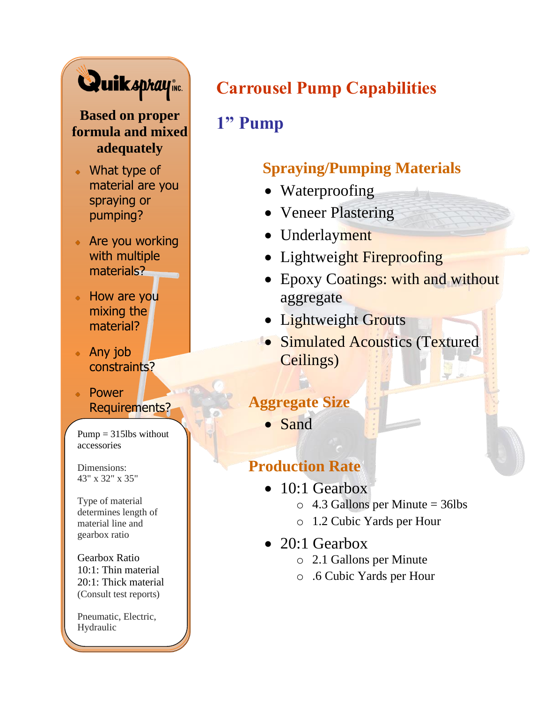

#### **Based on proper formula and mixed adequately**

- What type of material are you spraying or pumping?
- Are you working with multiple materials?
- How are you mixing the material?
- Any job constraints?
- Power Requirements?

 $Pump = 315$ lbs without accessories

Dimensions: 43" x 32" x 35"

Type of material determines length of material line and gearbox ratio

Gearbox Ratio 10:1: Thin material 20:1: Thick material (Consult test reports)

Pneumatic, Electric, Hydraulic

### **Carrousel Pump Capabilities**

### **1" Pump**

### **Spraying/Pumping Materials**

- Waterproofing
- Veneer Plastering
- Underlayment
- Lightweight Fireproofing
- Epoxy Coatings: with and without aggregate
- Lightweight Grouts
- Simulated Acoustics (Textured Ceilings)

#### **Aggregate Size**

• Sand

- 10:1 Gearbox
	- $\circ$  4.3 Gallons per Minute = 36lbs
	- o 1.2 Cubic Yards per Hour
- $\bullet$  20:1 Gearbox
	- o 2.1 Gallons per Minute
	- o .6 Cubic Yards per Hour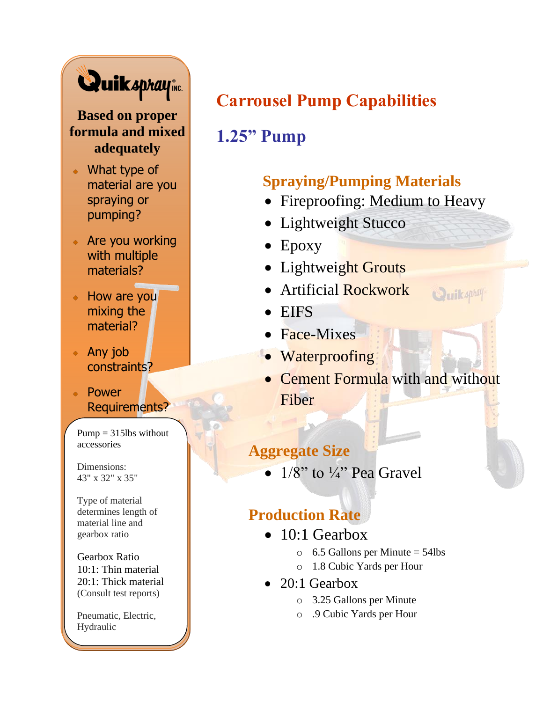# Quikspraying

#### **Based on proper formula and mixed adequately**

- What type of material are you spraying or pumping?
- Are you working with multiple materials?
- How are you mixing the material?
- Any job constraints?
- Power Requirements?

 $Pump = 315$ lbs without accessories

Dimensions: 43" x 32" x 35"

Type of material determines length of material line and gearbox ratio

Gearbox Ratio 10:1: Thin material 20:1: Thick material (Consult test reports)

Pneumatic, Electric, Hydraulic

### **Carrousel Pump Capabilities**

### **1.25" Pump**

#### **Spraying/Pumping Materials**

- Fireproofing: Medium to Heavy
- Lightweight Stucco
- Epoxy
- Lightweight Grouts
- Artificial Rockwork
- EIFS
- Face-Mixes
- Waterproofing
- Cement Formula with and without Fiber

**QuikADMAY** 

#### **Aggregate Size**

•  $1/8$ " to  $\frac{1}{4}$ " Pea Gravel

- $\bullet$  10:1 Gearbox
	- $\circ$  6.5 Gallons per Minute = 54lbs
	- o 1.8 Cubic Yards per Hour
- 20:1 Gearbox
	- o 3.25 Gallons per Minute
	- o .9 Cubic Yards per Hour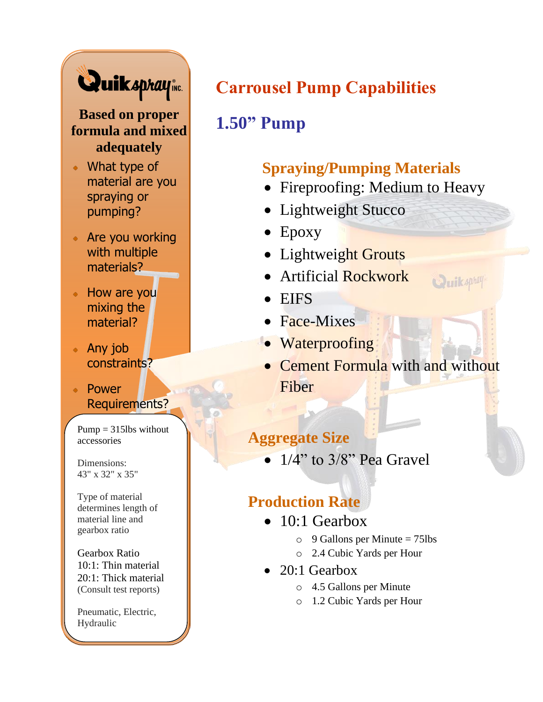## Quiksprayine

**Based on proper formula and mixed adequately**

- What type of material are you spraying or pumping?
- Are you working with multiple materials?
- How are you mixing the material?
- Any job constraints?
- Power Requirements?

 $Pump = 315$ lbs without accessories

Dimensions: 43" x 32" x 35"

Type of material determines length of material line and gearbox ratio

Gearbox Ratio 10:1: Thin material 20:1: Thick material (Consult test reports)

Pneumatic, Electric, Hydraulic

## **Carrousel Pump Capabilities**

### **1.50" Pump**

#### **Spraying/Pumping Materials**

- Fireproofing: Medium to Heavy
- Lightweight Stucco
- Epoxy
- Lightweight Grouts
- Artificial Rockwork
- EIFS
- Face-Mixes
- Waterproofing
- Cement Formula with and without Fiber

Quikaphay

#### **Aggregate Size**

 $\bullet$  1/4" to 3/8" Pea Gravel

- 10:1 Gearbox
	- $\circ$  9 Gallons per Minute = 75lbs
	- o 2.4 Cubic Yards per Hour
- 20:1 Gearbox
	- o 4.5 Gallons per Minute
	- o 1.2 Cubic Yards per Hour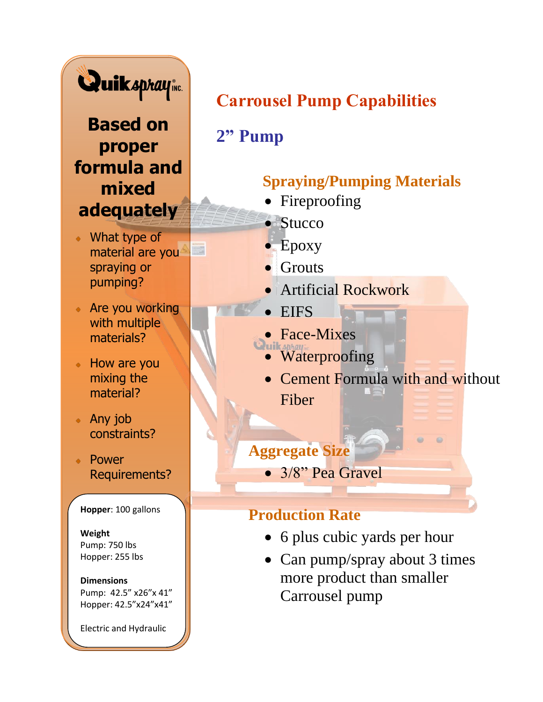

**Based on proper formula and mixed adequately**

What type of material are you spraying or pumping?

- Are you working with multiple materials?
- How are you mixing the material?
- Any job constraints?
- Power Requirements?

**Hopper**: 100 gallons

**Weight** Pump: 750 lbs Hopper: 255 lbs

**Dimensions** Pump: 42.5" x26"x 41" Hopper: 42.5"x24"x41"

Electric and Hydraulic

### **Carrousel Pump Capabilities**

**2" Pump**

### **Spraying/Pumping Materials**

- Fireproofing
- Stucco
- Epoxy
- Grouts
- **Artificial Rockwork**
- EIFS
- Face-Mixes
	- Waterproofing
	- Cement Formula with and without Fiber

### **Aggregate Size**

• 3/8" Pea Gravel

- 6 plus cubic yards per hour
- Can pump/spray about 3 times more product than smaller Carrousel pump